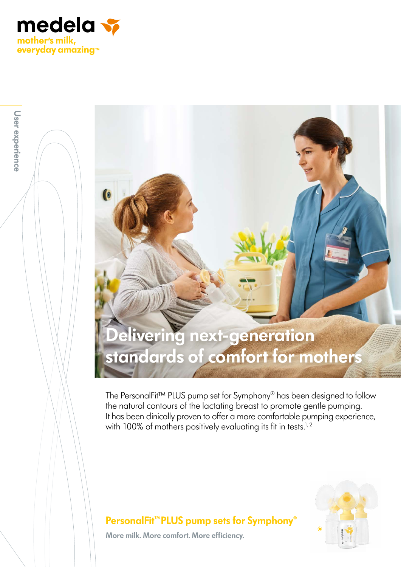

**User experience**

User experience

# **Delivering next-generation standards of comfort for mothers**

The PersonalFit™ PLUS pump set for Symphony® has been designed to follow the natural contours of the lactating breast to promote gentle pumping. It has been clinically proven to offer a more comfortable pumping experience, with 100% of mothers positively evaluating its fit in tests.<sup>1, 2</sup>



#### **PersonalFit™PLUS pump sets for Symphony**®

**More milk. More comfort. More efficiency.**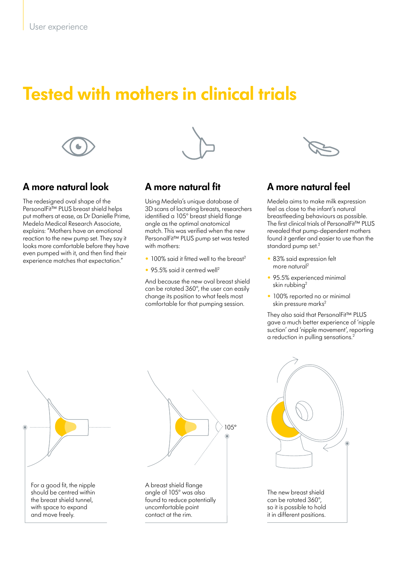## **Tested with mothers in clinical trials**



### **A more natural look**

The redesigned oval shape of the PersonalFit™ PLUS breast shield helps put mothers at ease, as Dr Danielle Prime, Medela Medical Research Associate, explains: "Mothers have an emotional reaction to the new pump set. They say it looks more comfortable before they have even pumped with it, and then find their experience matches that expectation."



#### **A more natural fit**

Using Medela's unique database of 3D scans of lactating breasts, researchers identified a 105° breast shield flange angle as the optimal anatomical match. This was verified when the new PersonalFit™ PLUS pump set was tested with mothers:

- 100% said it fitted well to the breast<sup>2</sup>
- 95.5% said it centred well<sup>2</sup>

And because the new oval breast shield can be rotated 360°, the user can easily change its position to what feels most comfortable for that pumping session.



### **A more natural feel**

Medela aims to make milk expression feel as close to the infant's natural breastfeeding behaviours as possible. The first clinical trials of PersonalFit™ PLUS revealed that pump-dependent mothers found it gentler and easier to use than the standard pump set.<sup>2</sup>

- 83% said expression felt more natural<sup>2</sup>
- 95.5% experienced minimal skin rubbing2
- 100% reported no or minimal skin pressure marks<sup>2</sup>

They also said that PersonalFit™ PLUS gave a much better experience of 'nipple suction' and 'nipple movement', reporting a reduction in pulling sensations.<sup>2</sup>

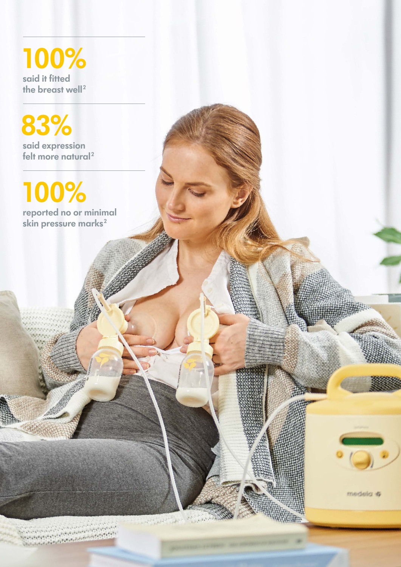**100% said it fitted**  the breast well<sup>2</sup>

**83% said expression**  felt more natural<sup>2</sup>

**100%**

**reported no or minimal**  skin pressure marks<sup>2</sup>

Carried Carried  $\frac{1}{2} \frac{1}{\lambda}$ 

medela #